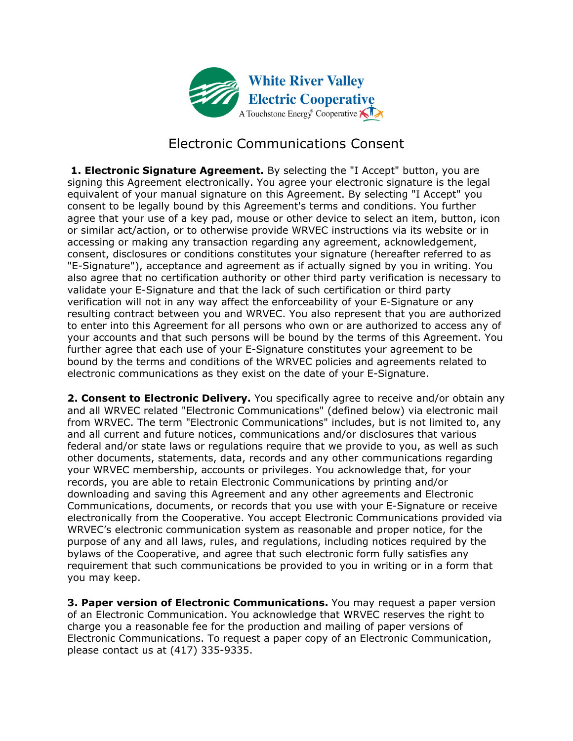

## Electronic Communications Consent

 **1. Electronic Signature Agreement.** By selecting the "I Accept" button, you are signing this Agreement electronically. You agree your electronic signature is the legal equivalent of your manual signature on this Agreement. By selecting "I Accept" you consent to be legally bound by this Agreement's terms and conditions. You further agree that your use of a key pad, mouse or other device to select an item, button, icon or similar act/action, or to otherwise provide WRVEC instructions via its website or in accessing or making any transaction regarding any agreement, acknowledgement, consent, disclosures or conditions constitutes your signature (hereafter referred to as "E-Signature"), acceptance and agreement as if actually signed by you in writing. You also agree that no certification authority or other third party verification is necessary to validate your E-Signature and that the lack of such certification or third party verification will not in any way affect the enforceability of your E-Signature or any resulting contract between you and WRVEC. You also represent that you are authorized to enter into this Agreement for all persons who own or are authorized to access any of your accounts and that such persons will be bound by the terms of this Agreement. You further agree that each use of your E-Signature constitutes your agreement to be bound by the terms and conditions of the WRVEC policies and agreements related to electronic communications as they exist on the date of your E-Signature.

**2. Consent to Electronic Delivery.** You specifically agree to receive and/or obtain any and all WRVEC related "Electronic Communications" (defined below) via electronic mail from WRVEC. The term "Electronic Communications" includes, but is not limited to, any and all current and future notices, communications and/or disclosures that various federal and/or state laws or regulations require that we provide to you, as well as such other documents, statements, data, records and any other communications regarding your WRVEC membership, accounts or privileges. You acknowledge that, for your records, you are able to retain Electronic Communications by printing and/or downloading and saving this Agreement and any other agreements and Electronic Communications, documents, or records that you use with your E-Signature or receive electronically from the Cooperative. You accept Electronic Communications provided via WRVEC's electronic communication system as reasonable and proper notice, for the purpose of any and all laws, rules, and regulations, including notices required by the bylaws of the Cooperative, and agree that such electronic form fully satisfies any requirement that such communications be provided to you in writing or in a form that you may keep.

**3. Paper version of Electronic Communications.** You may request a paper version of an Electronic Communication. You acknowledge that WRVEC reserves the right to charge you a reasonable fee for the production and mailing of paper versions of Electronic Communications. To request a paper copy of an Electronic Communication, please contact us at (417) 335-9335.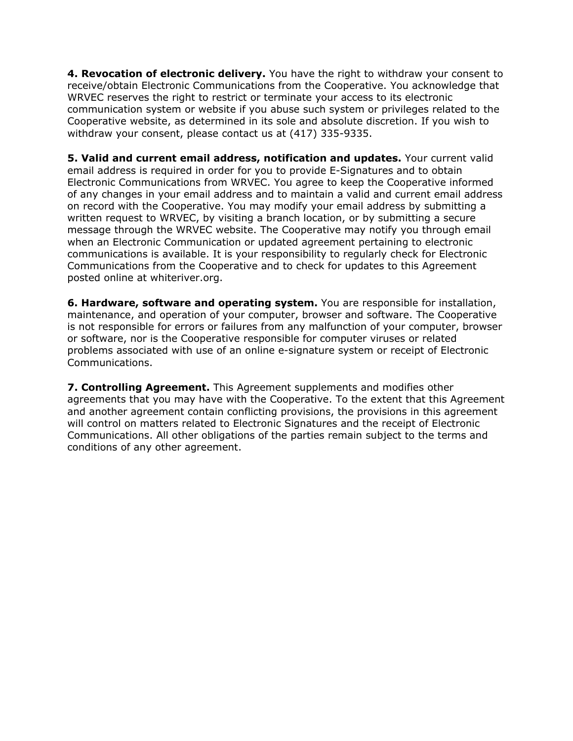**4. Revocation of electronic delivery.** You have the right to withdraw your consent to receive/obtain Electronic Communications from the Cooperative. You acknowledge that WRVEC reserves the right to restrict or terminate your access to its electronic communication system or website if you abuse such system or privileges related to the Cooperative website, as determined in its sole and absolute discretion. If you wish to withdraw your consent, please contact us at (417) 335-9335.

**5. Valid and current email address, notification and updates.** Your current valid email address is required in order for you to provide E-Signatures and to obtain Electronic Communications from WRVEC. You agree to keep the Cooperative informed of any changes in your email address and to maintain a valid and current email address on record with the Cooperative. You may modify your email address by submitting a written request to WRVEC, by visiting a branch location, or by submitting a secure message through the WRVEC website. The Cooperative may notify you through email when an Electronic Communication or updated agreement pertaining to electronic communications is available. It is your responsibility to regularly check for Electronic Communications from the Cooperative and to check for updates to this Agreement posted online at whiteriver.org.

**6. Hardware, software and operating system.** You are responsible for installation, maintenance, and operation of your computer, browser and software. The Cooperative is not responsible for errors or failures from any malfunction of your computer, browser or software, nor is the Cooperative responsible for computer viruses or related problems associated with use of an online e-signature system or receipt of Electronic Communications.

**7. Controlling Agreement.** This Agreement supplements and modifies other agreements that you may have with the Cooperative. To the extent that this Agreement and another agreement contain conflicting provisions, the provisions in this agreement will control on matters related to Electronic Signatures and the receipt of Electronic Communications. All other obligations of the parties remain subject to the terms and conditions of any other agreement.